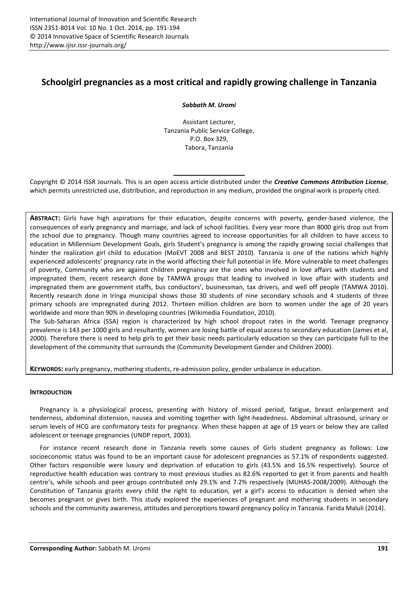# **Schoolgirl pregnancies as a most critical and rapidly growing challenge in Tanzania**

*Sabbath M. Uromi* 

Assistant Lecturer, Tanzania Public Service College, P.O. Box 329, Tabora, Tanzania

Copyright © 2014 ISSR Journals. This is an open access article distributed under the *Creative Commons Attribution License*, which permits unrestricted use, distribution, and reproduction in any medium, provided the original work is properly cited.

**ABSTRACT:** Girls have high aspirations for their education, despite concerns with poverty, gender-based violence, the consequences of early pregnancy and marriage, and lack of school facilities. Every year more than 8000 girls drop out from the school due to pregnancy. Though many countries agreed to increase opportunities for all children to have access to education in Millennium Development Goals, girls Student's pregnancy is among the rapidly growing social challenges that hinder the realization girl child to education (MoEVT 2008 and BEST 2010). Tanzania is one of the nations which highly experienced adolescents' pregnancy rate in the world affecting their full potential in life. More vulnerable to meet challenges of poverty, Community who are against children pregnancy are the ones who involved in love affairs with students and impregnated them, recent research done by TAMWA groups that leading to involved in love affair with students and impregnated them are government staffs, bus conductors', businessman, tax drivers, and well off people (TAMWA 2010). Recently research done in Iringa municipal shows those 30 students of nine secondary schools and 4 students of three primary schools are impregnated during 2012. Thirteen million children are born to women under the age of 20 years worldwide and more than 90% in developing countries (Wikimedia Foundation, 2010).

The Sub-Saharan Africa (SSA) region is characterized by high school dropout rates in the world. Teenage pregnancy prevalence is 143 per 1000 girls and resultantly, women are losing battle of equal access to secondary education (James et al, 2000). Therefore there is need to help girls to get their basic needs particularly education so they can participate full to the development of the community that surrounds the (Community Development Gender and Children 2000).

**KEYWORDS:** early pregnancy, mothering students, re-admission policy, gender unbalance in education.

## **INTRODUCTION**

Pregnancy is a physiological process, presenting with history of missed period, fatigue, breast enlargement and tenderness, abdominal distension, nausea and vomiting together with light-headedness. Abdominal ultrasound, urinary or serum levels of HCG are confirmatory tests for pregnancy. When these happen at age of 19 years or below they are called adolescent or teenage pregnancies (UNDP report, 2003).

For instance recent research done in Tanzania revels some causes of Girls student pregnancy as follows: Low socioeconomic status was found to be an important cause for adolescent pregnancies as 57.1% of respondents suggested. Other factors responsible were luxury and deprivation of education to girls (43.5% and 16.5% respectively). Source of reproductive health education was contrary to most previous studies as 82.6% reported to get it from parents and health centre's, while schools and peer groups contributed only 29.1% and 7.2% respectively (MUHAS-2008/2009). Although the Constitution of Tanzania grants every child the right to education, yet a girl's access to education is denied when she becomes pregnant or gives birth. This study explored the experiences of pregnant and mothering students in secondary schools and the community awareness, attitudes and perceptions toward pregnancy policy in Tanzania. Farida Maluli (2014).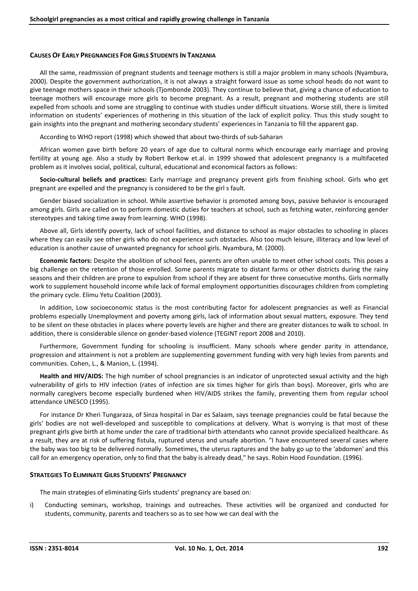#### **CAUSES OF EARLY PREGNANCIES FOR GIRLS STUDENTS IN TANZANIA**

All the same, readmission of pregnant students and teenage mothers is still a major problem in many schools (Nyambura, 2000). Despite the government authorization, it is not always a straight forward issue as some school heads do not want to give teenage mothers space in their schools (Tjombonde 2003). They continue to believe that, giving a chance of education to teenage mothers will encourage more girls to become pregnant. As a result, pregnant and mothering students are still expelled from schools and some are struggling to continue with studies under difficult situations. Worse still, there is limited information on students' experiences of mothering in this situation of the lack of explicit policy. Thus this study sought to gain insights into the pregnant and mothering secondary students' experiences in Tanzania to fill the apparent gap.

According to WHO report (1998) which showed that about two-thirds of sub-Saharan

African women gave birth before 20 years of age due to cultural norms which encourage early marriage and proving fertility at young age. Also a study by Robert Berkow et.al. in 1999 showed that adolescent pregnancy is a multifaceted problem as it involves social, political, cultural, educational and economical factors as follows:

**Socio-cultural beliefs and practices:** Early marriage and pregnancy prevent girls from finishing school. Girls who get pregnant are expelled and the pregnancy is considered to be the girl s fault.

Gender biased socialization in school. While assertive behavior is promoted among boys, passive behavior is encouraged among girls. Girls are called on to perform domestic duties for teachers at school, such as fetching water, reinforcing gender stereotypes and taking time away from learning. WHO (1998).

Above all, Girls identify poverty, lack of school facilities, and distance to school as major obstacles to schooling in places where they can easily see other girls who do not experience such obstacles. Also too much leisure, illiteracy and low level of education is another cause of unwanted pregnancy for school girls. Nyambura, M. (2000).

**Economic factors:** Despite the abolition of school fees, parents are often unable to meet other school costs. This poses a big challenge on the retention of those enrolled. Some parents migrate to distant farms or other districts during the rainy seasons and their children are prone to expulsion from school if they are absent for three consecutive months. Girls normally work to supplement household income while lack of formal employment opportunities discourages children from completing the primary cycle. Elimu Yetu Coalition (2003).

In addition, Low socioeconomic status is the most contributing factor for adolescent pregnancies as well as Financial problems especially Unemployment and poverty among girls, lack of information about sexual matters, exposure. They tend to be silent on these obstacles in places where poverty levels are higher and there are greater distances to walk to school. In addition, there is considerable silence on gender-based violence (TEGINT report 2008 and 2010).

Furthermore, Government funding for schooling is insufficient. Many schools where gender parity in attendance, progression and attainment is not a problem are supplementing government funding with very high levies from parents and communities. Cohen, L., & Manion, L. (1994).

**Health and HIV/AIDS:** The high number of school pregnancies is an indicator of unprotected sexual activity and the high vulnerability of girls to HIV infection (rates of infection are six times higher for girls than boys). Moreover, girls who are normally caregivers become especially burdened when HIV/AIDS strikes the family, preventing them from regular school attendance UNESCO (1995).

For instance Dr Kheri Tungaraza, of Sinza hospital in Dar es Salaam, says teenage pregnancies could be fatal because the girls' bodies are not well-developed and susceptible to complications at delivery. What is worrying is that most of these pregnant girls give birth at home under the care of traditional birth attendants who cannot provide specialized healthcare. As a result, they are at risk of suffering fistula, ruptured uterus and unsafe abortion. "I have encountered several cases where the baby was too big to be delivered normally. Sometimes, the uterus raptures and the baby go up to the 'abdomen' and this call for an emergency operation, only to find that the baby is already dead," he says. Robin Hood Foundation. (1996).

## **STRATEGIES TO ELIMINATE GILRS STUDENTS' PREGNANCY**

The main strategies of eliminating Girls students' pregnancy are based on:

i) Conducting seminars, workshop, trainings and outreaches. These activities will be organized and conducted for students, community, parents and teachers so as to see how we can deal with the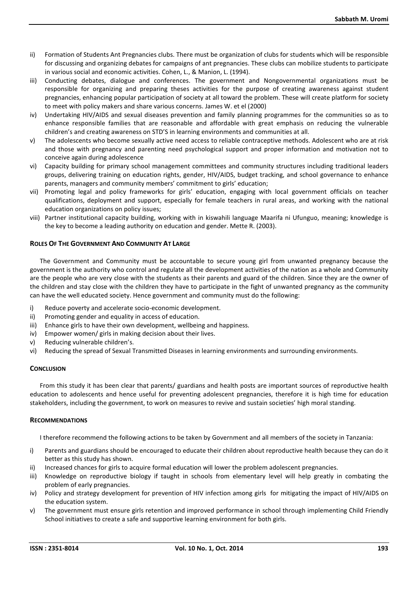- ii) Formation of Students Ant Pregnancies clubs. There must be organization of clubs for students which will be responsible for discussing and organizing debates for campaigns of ant pregnancies. These clubs can mobilize students to participate in various social and economic activities. Cohen, L., & Manion, L. (1994).
- iii) Conducting debates, dialogue and conferences. The government and Nongovernmental organizations must be responsible for organizing and preparing theses activities for the purpose of creating awareness against student pregnancies, enhancing popular participation of society at all toward the problem. These will create platform for society to meet with policy makers and share various concerns. James W. et el (2000)
- iv) Undertaking HIV/AIDS and sexual diseases prevention and family planning programmes for the communities so as to enhance responsible families that are reasonable and affordable with great emphasis on reducing the vulnerable children's and creating awareness on STD'S in learning environments and communities at all.
- v) The adolescents who become sexually active need access to reliable contraceptive methods. Adolescent who are at risk and those with pregnancy and parenting need psychological support and proper information and motivation not to conceive again during adolescence
- vi) Capacity building for primary school management committees and community structures including traditional leaders groups, delivering training on education rights, gender, HIV/AIDS, budget tracking, and school governance to enhance parents, managers and community members' commitment to girls' education;
- vii) Promoting legal and policy frameworks for girls' education, engaging with local government officials on teacher qualifications, deployment and support, especially for female teachers in rural areas, and working with the national education organizations on policy issues;
- viii) Partner institutional capacity building, working with in kiswahili language Maarifa ni Ufunguo, meaning; knowledge is the key to become a leading authority on education and gender. Mette R. (2003).

## **ROLES OF THE GOVERNMENT AND COMMUNITY AT LARGE**

The Government and Community must be accountable to secure young girl from unwanted pregnancy because the government is the authority who control and regulate all the development activities of the nation as a whole and Community are the people who are very close with the students as their parents and guard of the children. Since they are the owner of the children and stay close with the children they have to participate in the fight of unwanted pregnancy as the community can have the well educated society. Hence government and community must do the following:

- i) Reduce poverty and accelerate socio-economic development.
- ii) Promoting gender and equality in access of education.
- iii) Enhance girls to have their own development, wellbeing and happiness.
- iv) Empower women/ girls in making decision about their lives.
- v) Reducing vulnerable children's.
- vi) Reducing the spread of Sexual Transmitted Diseases in learning environments and surrounding environments.

## **CONCLUSION**

From this study it has been clear that parents/ guardians and health posts are important sources of reproductive health education to adolescents and hence useful for preventing adolescent pregnancies, therefore it is high time for education stakeholders, including the government, to work on measures to revive and sustain societies' high moral standing.

## **RECOMMENDATIONS**

I therefore recommend the following actions to be taken by Government and all members of the society in Tanzania:

- i) Parents and guardians should be encouraged to educate their children about reproductive health because they can do it better as this study has shown.
- ii) Increased chances for girls to acquire formal education will lower the problem adolescent pregnancies.
- iii) Knowledge on reproductive biology if taught in schools from elementary level will help greatly in combating the problem of early pregnancies.
- iv) Policy and strategy development for prevention of HIV infection among girls for mitigating the impact of HIV/AIDS on the education system.
- v) The government must ensure girls retention and improved performance in school through implementing Child Friendly School initiatives to create a safe and supportive learning environment for both girls.